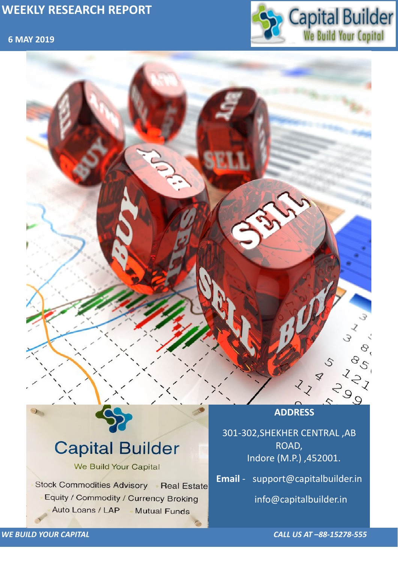### **6 MAY 2019**



*WE BUILD YOUR CAPITAL CALL US AT –88-15278-555*



# **Capital Builder** We Build Your Capital Stock Commodities Advisory Real Estate Equity / Commodity / Currency Broking Auto Loans / LAP **Mutual Funds**

301-302,SHEKHER CENTRAL ,AB ROAD, Indore (M.P.) ,452001.

**Email** - support@capitalbuilder.in

info@capitalbuilder.in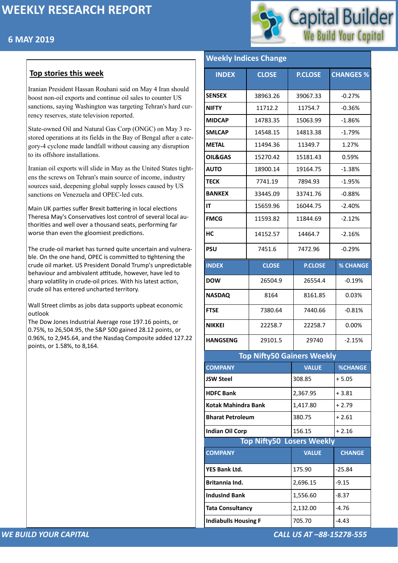### **6 MAY 2019**



#### *WE BUILD YOUR CAPITAL CALL US AT –88-15278-555*

### **Top stories this week**

Iranian President Hassan Rouhani said on May 4 Iran should boost non-oil exports and continue oil sales to counter US sanctions, saying Washington was targeting Tehran's hard currency reserves, state television reported.

State-owned Oil and Natural Gas Corp (ONGC) on May 3 restored operations at its fields in the Bay of Bengal after a category-4 cyclone made landfall without causing any disruption to its offshore installations.

Iranian oil exports will slide in May as the United States tightens the screws on Tehran's main source of income, industry sources said, deepening global supply losses caused by US sanctions on Venezuela and OPEC-led cuts.

Main UK parties suffer Brexit battering in local elections Theresa May's Conservatives lost control of several local authorities and well over a thousand seats, performing far worse than even the gloomiest predictions.

The crude-oil market has turned quite uncertain and vulnerable. On the one hand, OPEC is committed to tightening the crude oil market. US President Donald Trump's unpredictable behaviour and ambivalent attitude, however, have led to sharp volatility in crude-oil prices. With his latest action, crude oil has entered uncharted territory.

Wall Street climbs as jobs data supports upbeat economic outlook

The Dow Jones Industrial Average rose 197.16 points, or 0.75%, to 26,504.95, the S&P 500 gained 28.12 points, or 0.96%, to 2,945.64, and the Nasdaq Composite added 127.22 points, or 1.58%, to 8,164.

#### **Weekly Indices Change**

| <b>INDEX</b>               | <b>CLOSE</b> | <b>P.CLOSE</b>                    | <b>CHANGES %</b> |  |  |  |
|----------------------------|--------------|-----------------------------------|------------------|--|--|--|
| <b>SENSEX</b>              | 38963.26     | 39067.33                          | $-0.27%$         |  |  |  |
| <b>NIFTY</b>               | 11712.2      | 11754.7                           | $-0.36%$         |  |  |  |
| <b>MIDCAP</b>              | 14783.35     | 15063.99                          | $-1.86%$         |  |  |  |
| <b>SMLCAP</b>              | 14548.15     | 14813.38                          | $-1.79%$         |  |  |  |
| <b>METAL</b>               | 11494.36     | 11349.7                           | 1.27%            |  |  |  |
| <b>OIL&amp;GAS</b>         | 15270.42     | 15181.43                          | 0.59%            |  |  |  |
| <b>AUTO</b>                | 18900.14     | 19164.75                          | $-1.38%$         |  |  |  |
| <b>TECK</b>                | 7741.19      | 7894.93                           | $-1.95%$         |  |  |  |
| <b>BANKEX</b>              | 33445.09     | 33741.76                          | $-0.88%$         |  |  |  |
| IT                         | 15659.96     | 16044.75                          | $-2.40%$         |  |  |  |
| <b>FMCG</b>                | 11593.82     | 11844.69                          | $-2.12%$         |  |  |  |
| HC                         | 14152.57     | 14464.7                           | $-2.16%$         |  |  |  |
| <b>PSU</b>                 | 7451.6       | 7472.96                           | $-0.29%$         |  |  |  |
| <b>INDEX</b>               | <b>CLOSE</b> | <b>P.CLOSE</b>                    | <b>% CHANGE</b>  |  |  |  |
| <b>DOW</b>                 | 26504.9      | 26554.4                           | $-0.19%$         |  |  |  |
| <b>NASDAQ</b>              | 8164         | 8161.85                           | 0.03%            |  |  |  |
| <b>FTSE</b>                | 7380.64      | 7440.66                           | $-0.81%$         |  |  |  |
| <b>NIKKEI</b>              | 22258.7      | 22258.7                           | 0.00%            |  |  |  |
| <b>HANGSENG</b>            | 29101.5      | 29740                             | $-2.15%$         |  |  |  |
|                            |              | <b>Top Nifty50 Gainers Weekly</b> |                  |  |  |  |
| <b>COMPANY</b>             |              | <b>VALUE</b>                      | <b>%CHANGE</b>   |  |  |  |
| <b>JSW Steel</b>           |              | 308.85                            | $+5.05$          |  |  |  |
| <b>HDFC Bank</b>           |              | 2,367.95                          | $+3.81$          |  |  |  |
| <b>Kotak Mahindra Bank</b> |              | 1,417.80                          | $+2.79$          |  |  |  |

**[Bharat Petroleum](https://money.rediff.com/companies/bharat-petroleum/12140020)**  $|380.75| + 2.61$ 

| Indian Oil Corp                  | 156.15       | $+2.16$       |
|----------------------------------|--------------|---------------|
| <b>Top Nifty50 Losers Weekly</b> |              |               |
| <b>COMPANY</b>                   | <b>VALUE</b> | <b>CHANGE</b> |
| <b>YES Bank Ltd.</b>             | 175.90       | $-25.84$      |
| <b>Britannia Ind.</b>            | 2,696.15     | $-9.15$       |
| <b>Indusind Bank</b>             | 1,556.60     | $-8.37$       |
| <b>Tata Consultancy</b>          | 2,132.00     | $-4.76$       |
| <b>Indiabulls Housing F</b>      | 705.70       | $-4.43$       |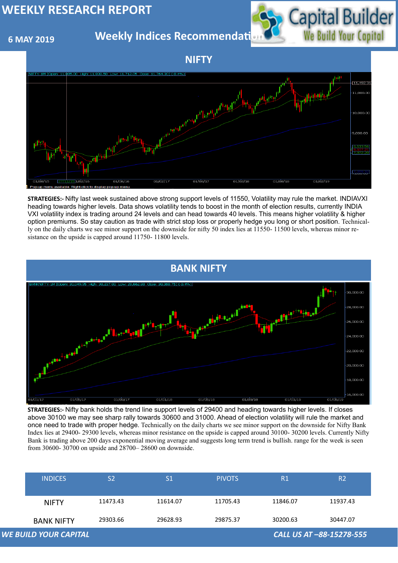### **6 MAY 2019**

**Weekly Indices Recommendati** 



| <b>INDICES</b>               | S <sub>2</sub> | S <sub>1</sub> | <b>PIVOTS</b> | R <sub>1</sub> | R <sub>2</sub>           |
|------------------------------|----------------|----------------|---------------|----------------|--------------------------|
| <b>NIFTY</b>                 | 11473.43       | 11614.07       | 11705.43      | 11846.07       | 11937.43                 |
| <b>BANK NIFTY</b>            | 29303.66       | 29628.93       | 29875.37      | 30200.63       | 30447.07                 |
| <b>WE BUILD YOUR CAPITAL</b> |                |                |               |                | CALL US AT -88-15278-555 |

#### **NIFTY**





**STRATEGIES:-** Nifty last week sustained above strong support levels of 11550, Volatility may rule the market. INDIAVXI heading towards higher levels. Data shows volatility tends to boost in the month of election results, currently INDIA VXI volatility index is trading around 24 levels and can head towards 40 levels. This means higher volatility & higher option premiums. So stay caution as trade with strict stop loss or properly hedge you long or short position. Technically on the daily charts we see minor support on the downside for nifty 50 index lies at 11550- 11500 levels, whereas minor resistance on the upside is capped around 11750- 11800 levels.

**STRATEGIES:-** Nifty bank holds the trend line support levels of 29400 and heading towards higher levels. If closes above 30100 we may see sharp rally towards 30600 and 31000. Ahead of election volatility will rule the market and once need to trade with proper hedge. Technically on the daily charts we see minor support on the downside for Nifty Bank Index lies at 29400- 29300 levels, whereas minor resistance on the upside is capped around 30100- 30200 levels. Currently Nifty Bank is trading above 200 days exponential moving average and suggests long term trend is bullish. range for the week is seen from 30600- 30700 on upside and 28700– 28600 on downside.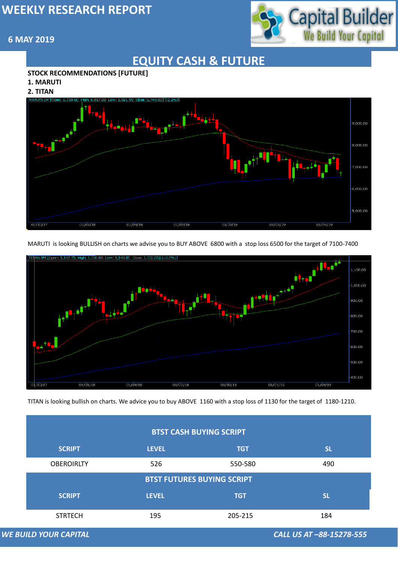

#### **6 MAY 2019**

*WE BUILD YOUR CAPITAL CALL US AT –88-15278-555*

# **EQUITY CASH & FUTURE**

#### **STOCK RECOMMENDATIONS [FUTURE]**

**1. MARUTI**

**2. TITAN**



#### **BTST CASH BUYING SCRIPT**

MARUTI is looking BULLISH on charts we advise you to BUY ABOVE 6800 with a stop loss 6500 for the target of 7100-7400



TITAN is looking bullish on charts. We advice you to buy ABOVE 1160 with a stop loss of 1130 for the target of 1180-1210.

| <b>SCRIPT</b>                     | <b>LEVEL</b> | <b>TGT</b> | <b>SL</b> |  |  |  |
|-----------------------------------|--------------|------------|-----------|--|--|--|
| <b>OBEROIRLTY</b>                 | 526          | 550-580    | 490       |  |  |  |
| <b>BTST FUTURES BUYING SCRIPT</b> |              |            |           |  |  |  |
| <b>SCRIPT</b>                     | <b>LEVEL</b> | <b>TGT</b> | <b>SL</b> |  |  |  |
| <b>STRTECH</b>                    | 195          | 205-215    | 184       |  |  |  |

#### **WE BUILD YOUR CAPITAL**